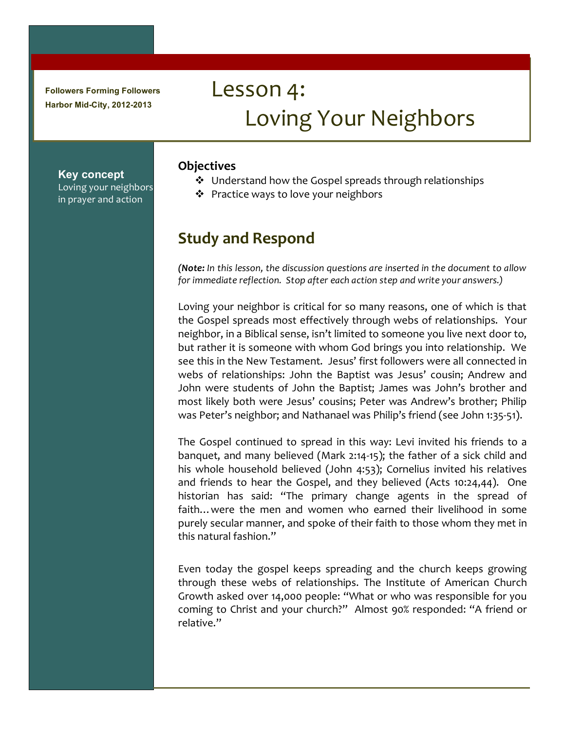**Followers Forming Followers Harbor Mid-City, 2012-2013**

**Key concept**

Loving your neighbors in prayer and action

# Lesson 4: Loving Your Neighbors

#### **Objectives**

- $\cdot$  Understand how the Gospel spreads through relationships
- $\cdot$  Practice ways to love your neighbors

## **Study!and!Respond**

*(Note:* In this lesson, the discussion questions are inserted in the document to allow *for immediate reflection. Stop after each action step and write your answers.)* 

Loving your neighbor is critical for so many reasons, one of which is that the Gospel spreads most effectively through webs of relationships. Your neighbor, in a Biblical sense, isn't limited to someone you live next door to, but rather it is someone with whom God brings you into relationship. We see this in the New Testament. Jesus' first followers were all connected in webs of relationships: John the Baptist was Jesus' cousin; Andrew and John were students of John the Baptist; James was John's brother and most likely both were Jesus' cousins; Peter was Andrew's brother; Philip was Peter's neighbor; and Nathanael was Philip's friend (see John 1:35-51).

The Gospel continued to spread in this way: Levi invited his friends to a banquet, and many believed (Mark 2:14-15); the father of a sick child and his whole household believed (John 4:53); Cornelius invited his relatives and friends to hear the Gospel, and they believed (Acts 10:24,44). One historian has said: "The primary change agents in the spread of faith... were the men and women who earned their livelihood in some purely secular manner, and spoke of their faith to those whom they met in this'natural'fashion."

Even today the gospel keeps spreading and the church keeps growing through these webs of relationships. The Institute of American Church Growth asked over 14,000 people: "What or who was responsible for you coming to Christ and your church?" Almost 90% responded: "A friend or relative."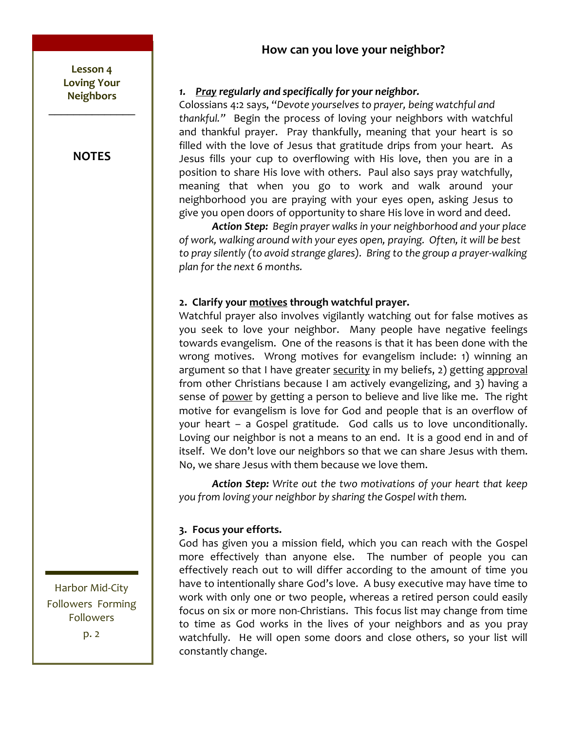## How can you love your neighbor?



## 1. Pray regularly and specifically for your neighbor.

Colossians 4:2 says, "Devote yourselves to prayer, being watchful and thankful." Begin the process of loving your neighbors with watchful and thankful prayer. Pray thankfully, meaning that your heart is so filled with the love of Jesus that gratitude drips from your heart. As Jesus fills your cup to overflowing with His love, then you are in a position to share His love with others. Paul also says pray watchfully, meaning that when you go to work and walk around your neighborhood you are praying with your eyes open, asking Jesus to give you open doors of opportunity to share His love in word and deed.

Action Step: Begin prayer walks in your neighborhood and your place of work, walking around with your eyes open, praying. Often, it will be best to pray silently (to avoid strange glares). Bring to the group a prayer-walking *plan for the next 6 months.* 

## 2. Clarify your motives through watchful prayer.

Watchful prayer also involves vigilantly watching out for false motives as you seek to love your neighbor. Many people have negative feelings towards evangelism. One of the reasons is that it has been done with the wrong motives. Wrong motives for evangelism include: 1) winning an argument so that I have greater security in my beliefs, 2) getting approval from other Christians because I am actively evangelizing, and 3) having a sense of power by getting a person to believe and live like me. The right motive for evangelism is love for God and people that is an overflow of your heart – a Gospel gratitude. God calls us to love unconditionally. Loving our neighbor is not a means to an end. It is a good end in and of itself. We don't love our neighbors so that we can share Jesus with them. No, we share Jesus with them because we love them.

**Action Step:** Write out the two motivations of your heart that keep you from loving your neighbor by sharing the Gospel with them.

## **3.!!Focus!your!efforts.**

God has given you a mission field, which you can reach with the Gospel more effectively than anyone else. The number of people you can effectively reach out to will differ according to the amount of time you have to intentionally share God's love. A busy executive may have time to work with only one or two people, whereas a retired person could easily focus on six or more non-Christians. This focus list may change from time to time as God works in the lives of your neighbors and as you pray watchfully. He will open some doors and close others, so your list will constantly change.

Followers  $p.2$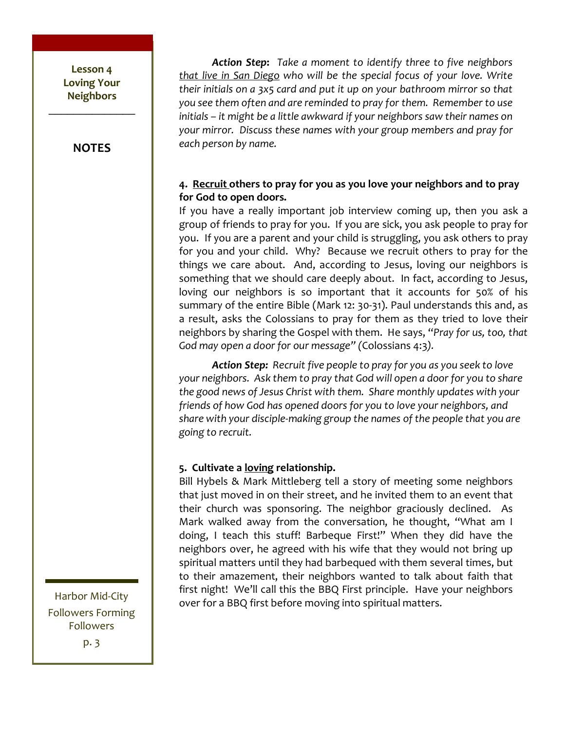Lesson 4 **Loving!Your! Neighbors!**  $\frac{1}{2}$ 

**NOTES**

**Action Step:** Take a moment to identify three to five neighbors *that live in San Diego who will be the special focus of your love. Write their initials on a 3x5 card and put it up on your bathroom mirror so that* you see them often and are reminded to pray for them. Remember to use *initials – it might be a little awkward if your neighbors saw their names on* your mirror. Discuss these names with your group members and pray for *each person by name.* 

#### 4. Recruit others to pray for you as you love your neighbors and to pray for God to open doors.

If you have a really important job interview coming up, then you ask a group of friends to pray for you. If you are sick, you ask people to pray for you. If you are a parent and your child is struggling, you ask others to pray for you and your child. Why? Because we recruit others to pray for the things we care about. And, according to Jesus, loving our neighbors is something that we should care deeply about. In fact, according to Jesus, loving our neighbors is so important that it accounts for 50% of his summary of the entire Bible (Mark 12: 30-31). Paul understands this and, as a result, asks the Colossians to pray for them as they tried to love their neighbors by sharing the Gospel with them.' He says, "Pray for us, too, that *God may open a door for our message" (Colossians 4:3).* 

Action Step: Recruit five people to pray for you as you seek to love your neighbors. Ask them to pray that God will open a door for you to share the good news of Jesus Christ with them. Share monthly updates with your *friends of how God has opened doors for you to love your neighbors, and share with your disciple-making group the names of the people that you are* going to recruit.

#### **5. Cultivate a loving relationship.**

Bill Hybels & Mark Mittleberg tell a story of meeting some neighbors that just moved in on their street, and he invited them to an event that their church was sponsoring. The neighbor graciously declined. As Mark walked away from the conversation, he thought, "What am I doing, I teach this stuff! Barbeque First!" When they did have the neighbors over, he agreed with his wife that they would not bring up spiritual matters until they had barbequed with them several times, but to their amazement, their neighbors wanted to talk about faith that first night! We'll call this the BBQ First principle. Have your neighbors over for a BBQ first before moving into spiritual matters.

Harbor Mid-City Followers Forming Followers p. 3